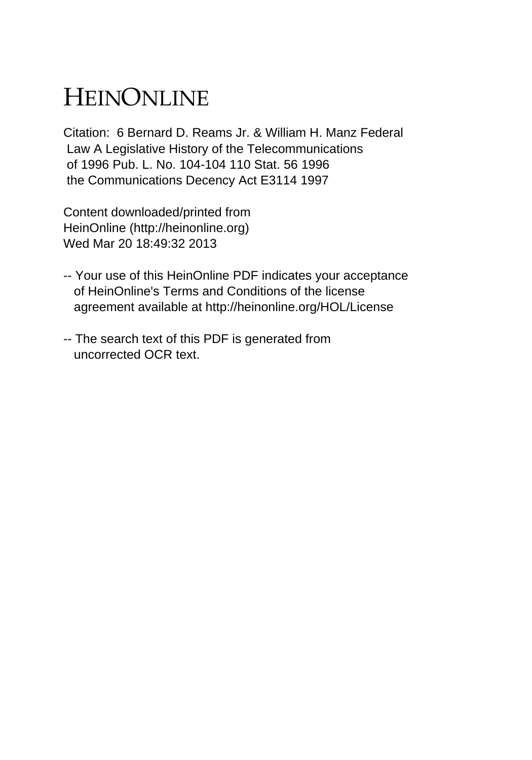# HEINONLINE

Citation: 6 Bernard D. Reams Jr. & William H. Manz Federal Law A Legislative History of the Telecommunications of 1996 Pub. L. No. 104-104 110 Stat. 56 1996 the Communications Decency Act E3114 1997

Content downloaded/printed from HeinOnline (http://heinonline.org) Wed Mar 20 18:49:32 2013

- -- Your use of this HeinOnline PDF indicates your acceptance of HeinOnline's Terms and Conditions of the license agreement available at http://heinonline.org/HOL/License
- -- The search text of this PDF is generated from uncorrected OCR text.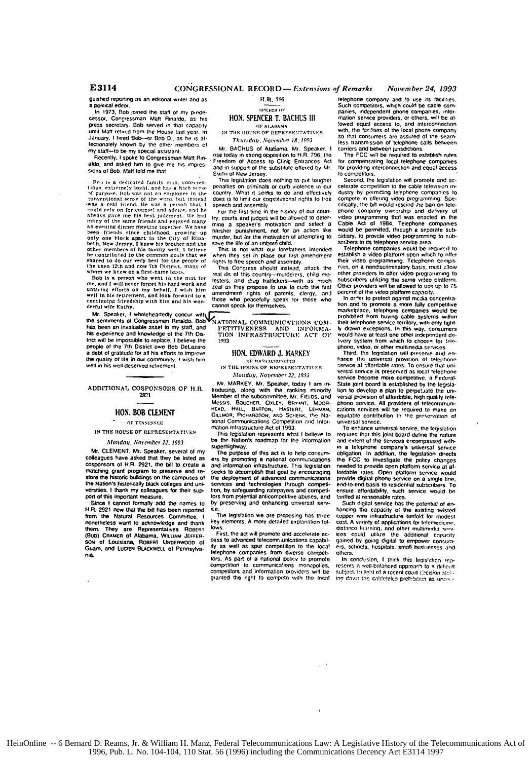guished reporting as an editorial writer and as a political editor.

In 1973, Bob joined the staff of my piedecessor, Congressman Matt Rinaldo, as his<br>press secretary. Bob served in that capacity until Matt retired from the House last year. In January, I hired Bob-or Bob D., as he is at-<br>fectionately known by the other members of my staff-to be my special assistant.<br>Recently, I spoke to Congressman Matt Rin-

aldo, and asked him to give me his impressions of Bob. Matt told me that

Revis a dedicated family man, conscien-<br>tious, extremely loyal, and has a high serse<br>of purpose, Hob was not an employee in the n purpose, now was not an empioyee in the<br>covertional sense of the word, but instead<br>was a real friend. He was a person that I<br>could rely on for counsel and advice, and he<br>always gave me his best judgment. We had<br>many of t many of the same friends and enjoyed many<br>an evening dimer meeting to prove may all even friends since childhood, scrowing up<br>only one block apart in the City of Eliza-<br>between the beam other meeting between the beam of t

not a person who went to the mat for<br>me, and I will never forcet his hard work and<br>untiring efforts on my behalf. I wish him<br>well in his retirement, and look forward to a continuing friendship with him and his won<br>continuing friendship with him and his won<br>derful wife Kathy.

Mr. Speaker, I wholeheartedly concur with the sentiments of Congressman Rinaldo. Bob<br>has been an invaluable asset to my staff, and<br>his experience and line isset to my staff, and his experience and knowledge of the 7th District will be impossible to replace. I believe the people of the 7th District owe Bob DeLazaro a debt of gratitude for all his efforts to improve the quality of life in our community. I wish him<br>well in his well-deserved retirement.

ADDITIONAL COSPONSORS OF H.R. 2921

#### HON. BOB CLEMENT

#### OF TENNESSEE

IN THE HOUSE OF REPRESENTATIVES

#### Monday, November 22, 1993

Mr. CLEMENT. Mr. Speaker, several of my colleagues have asked that they be listed as<br>cosponsors of H.R. 2921, the bill to create a matching grant program to preserve and restore the historic buildings on the campuses of the Nation's historically black colleges and universities. I thank my colleagues for their support of this important measure.

Since I cannot formally add the names to<br>H.R. 2921 new that the bill has been reported from the Natural Resources Committee. nonetheless want to acknowledge and thank The They are Representative of the Milliam (Bub) CRAMER of Alabama, WittAM JEFFER-<br>(Bub) CRAMER of Alabama, WittAM JEFFER-<br>SON of Louisiana, ROBERT UNDERWOOD of Guam, and LUCIEN BLACKWELL of Pennsylva-

### H.R. 796 SPEECH OF

#### HON, SPENCER T. BACHUS III OF ALARAMA

IN THE HOUSE OF REPRESENTATIVES Thursday, November 18, 1993

Mr. BACHUS of Alahama, Mr. Speaker, I rise today in strong opposition to H.R. 796, the Freedom of Access to Clinic Entrances Act<br>and in support of the substitute offered by Mr. SMITH of New Jersey.<br>This legislation does nothing to put tougher

penalties on criminals or curb violence in our What it seeks to do and effectively country. does is to limit our constitutional rights to free speech and assembly.

For the first time in the history of our country, courts and judges will be allowed to determine a speaker's motivation and select a punishment, not for an action like murder, but for the motivation of attempting to save the life of an unborn child.

This is not what our forefathers intended when they set in place our first amendment<br>rights to free speech and assembly.

This Congress should instead, attack the This Congress should instead, attack the<br>real dis of this country—murderers, child mo-<br>lesters, and drug traffickers—with as much<br>real as they propose to use to curb the fust<br>amendment rights of parents, clergy, and<br>those cannot speak for themselves.

ATIONAL COMMUNICATIONS COM-PETITIVENESS AND INFORMATION INFRASTRUCTURE ACT OF **PETITIVENESS** 1993

#### HON, EDWARD J. MARKEY OF MASS VEHISETTS.

IN THE HOUSE OF REPRESENTATIVES Monday, November 22, 1993

Mr. MARKEY. Mr. Speaker, today I am introducing, along with the ranking minority<br>Member of the subcommittee, Mr. FIELDS, and Member of the subcommittee, Mr. Fields, and<br>Messrs. Bouchert, Oxley, Brivant, Moon-HEAD, HALL, BARTON, HAStert, Lehman,<br>Gillimon, Pichardoon, AND Scheint, the Namation Infrastructure Act of 1993.

mation intrastructure Act of 1999.<br>This legislation represents what I believe to<br>be the Nation's roadmap for the information superhighway.

The purpose of this act is to help consumers by promoting a national communications<br>and information infrastructure. This legislation seeks to accomplish that goal by encouraging the deployment of advanced communications rices and technologies through competition, by safeguarding ratepayers and competi-<br>tors from potential anticompetitive abuses, and by preserving and enhancing universal serv-

The legislation we are proposing has three<br>key elements. A more detailed explanation follows.

First, the act will promote and accelerate access to advanced telecomr unications capability as well as sour competition to the tocal telephone companies from diverse competitors. As part of a national policy to promote competition to communications monopolies,<br>competitors and information providers will be granted the right to compete with the local

telephone company and to use its facilities. Such competitors, which could be cable companies, independent phone companies. mation service providers, or others, will be allowed equal access to, and interconnection<br>with, the facilities of the local phone company so that consumers are assured of the seam-<br>less transmission of telephone calls between

carriers and between jurisdictions.<br>The FCC will be required to establish rules for compensating local telephone companies for providing interconnection and equal access to competitors

eempellists.<br>Second, the legislation will promote and ac-Second, the legislation will promote and ac-<br>celerate competition to the cable television in-<br>dustry by permiting telephene companies to<br>compete in offering video programming. Specifically, the bill would rescind the ban o wideo programming that was enacted in the<br>Cable Act of 1984. Telephone companies<br>would be permitted, through a separate sub-<br>sidiary, to provide video programming to subscribers in its telephone service area.

scribers in its telephone service area.<br>Telephone companies would be required to<br>establish a video platform upon which to offer<br>their video programming. Telephone compa-<br>nies, on a nondscriminatory basis, must cllow providers to offer video pregramming to subscribers utilizing the same video platform subscribers unitarity the same viceo picture<br>Other providers will be allowed to use up to 75<br>percent of the video platform capacity.<br>In order to protect against much a competitive<br>from and to promote a more fully competiti

from and to promote a members would be<br>marketplace, telephone companies would be<br>prohibited from buying cable systems within<br>their telephone service territory, with only tight-<br>by drawn exceptions. In this way, consumers<br>w Four system from which to choose for tele-<br>phone, video, or other multimedia services.<br>Third, the legislation will preserve and en-

hance the universal provision of felephone versal service is preserved as local felenhone service become more competitive, a Federal-State joint board is established by the legisla-State print board is estimated by the tegrista-<br>tion to develop a plan to perpetiate the uni-<br>versal provision of affordable, high quality tele-<br>phono-service. All providers of telecommunications services will be required to make an<br>equitable contribution to the preservation of universal service.

To enhance universal service, the legislation requires that this joint board define the nature and extent of the services encompassed within a telephone company's universal service<br>obligation. In addition, the legislation directs<br>the FCC to investigate the policy changes the record of provide open platform service at at-<br>fordable rates. Open platform service at at-<br>provide digital phone service on a single line,<br>exploited digital phone service on a single line,<br>explored to estimate aubscri ensure affordability, such service would be<br>tariffed at reasonable rates.

Such digital service has the cotential of enhancing the capacity of the existing twisted copper wire infrastructure tentold for modest cost. A variety of applications for telemedicine, distance learning, and other multimedia servlies could utilize the additional capacity<br>gained by going digital to empower consumers, schools, hospitals, small businesses and others.

In conclusion, I think this legislation repsubject. In light of a recent court decision stell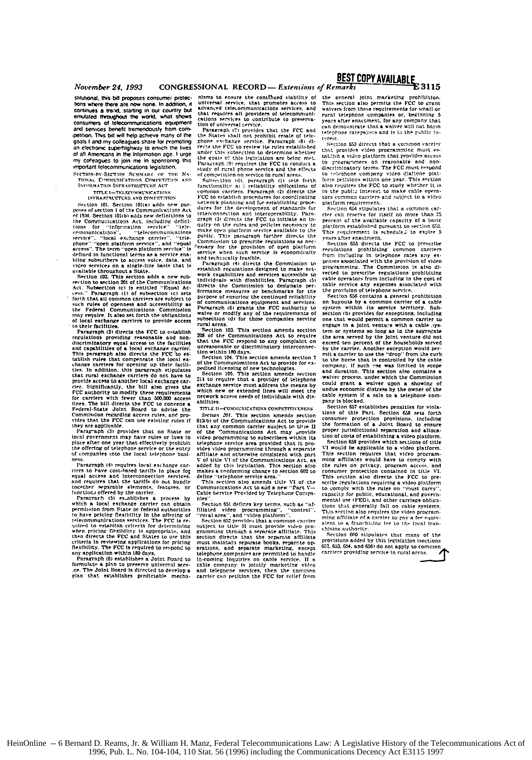November 24, 1993

#### stitutional, this hill occooses consume: ornigotions where there are now none. In addition, it continues a trend, starting in our country but emulated throughout the world, what s consumers of telecommunications equipment and services benefit tremendously from combettion. This bill will help achieve many of the goals I and my colleagues share for promoting an electronic superhighway to enrich the lives of all Americans in the information age. I urge my colleagues to join me in sponsonng this important telecommunications legislation

SECTION-BY-SECTION SUMMARY OF THE NA-TIONAL COMMUNICATIONS COMPETITION AND ISFORMATION ISFRASTRUCTURE ACT

TITLE 1-TELECOMMUNICATIONS<br>INFRASTRUCTURE AND COMPETITION

ertion 101. Section 101. and and new pur-<br>research 101. Section 101. Section 101. Section 101. Section 101. Section 101.<br>presearch 101. Section 101. Section 101. Section 101. Section 101.<br>b) and several definitions to the tions for "information service" "tele-<br>communications", "tele-communications", "tele-<br>communications", "tele-<br>communications phone" "open platform service", and "equal access". The term "open platform service" is<br>accessib

section to section 201 of the Communications<br>Act. Subsection (c) is entitled "Equal Actest". Paragraph (i) of subsection (c) sets<br>for the fact of the first definition (c) sets subject to<br>such rules of openness and accessib of local exchange carriers to provide access to their facilities

to their facilities.<br>The previous the FCC to establish regulations providing researant<br>ble and non-<br>discriminatory equal access to the facilities<br>and capabilities of a local exchange carrier.<br>This paraeraph also directs t provide access to another local exchange car-<br>rier. Significantly, the bill also gives the<br>FCC authority to modify these requirements<br>for carriers with fever than 500,000 access<br>times. The bill directs the FCC to convene a commission regarding access rules, and pro-<br>cldes that the FCC can use existing rules if<br>they are applicable.<br>Paragraph (3) provides that no State or they

rating poetation in the state of the state of laws in<br>place after one year that effectively prohibit the offering of telephone service or the entry<br>the offering of telephone service or the entry

Paragraph (4) requires local exchange car

That<br>are the regulate local exchange car-<br>ries to have cost-hased tariffs in place formula access and interconnection steriles,<br>and requires that the tariffs denote but<br>to but to but but the function of the function of fer quired to establish criteria for determining the<br>spired when pricing first indication of the and the spire<br>pricing appropriate, and then directs the FCC and States to use this<br>criterian in eveleting applications for pricin

nisms to ensure the contfhued viability of nisms to ensure the continue vinduce viewed<br>universal service, that promotes access to<br>advanced telecommunications services, and<br>that requires all providers of telecommuni-<br>calons services to contribute to preserva-<br>ton of

cations services to contribute to preserva-<br>totion's services to contribute to preserva-<br>Termscent) c7) prevides that the FCC and<br>the BC and the State's shall not probibit result of the<br>phone exchange service. Parametering

service when such service is economically preserved when such service is economically matched and technically frequencies that the matched of the matched of the matched direct that directly different direct direct the Comm subsection (d) for those companies serving

wave of mouri winy of the requirements of<br>subsection (d) for those companies serving<br>Translaters.<br>The Communications Act to require<br> $208$  of the Communications Act to require<br>that the FCC respond to any complaint on<br>that t abilities.

TITLE II-COMMUNICATIONS COMPETTIVENESS

TITLE 11—COMMUNICATIONS COMPETITIVENESS SCAPE THE 11 SECTION ARE SCIENCES SEARCH AND SOLUTION OF THE SUPERVISOR OF THE SUPERVISOR OF THE CONTRACT LARGE THE LAPS THE LAPS THE LAPS THAT A SUPERVISOR AND SUPERVISOR AND A SEP

Cable Service Provided by Telephone Companies<sup>.</sup>

es<br>Section 651 defines key terms, such

Cection S51 defines key terms, such as "nf-<br>fillniced video procentuming", "control",<br>"mual area", and "video piatorm", "centrol",<br>"exalito 852 previoles that a common corrier<br>subject to title II must provide video pro-<br>se

the general joint marketing prohibition. the general joint marketing promittion.<br>This section also permits the FCC to grant<br>waivers from these requirements for small or<br>rural telephone companies or, beginning 5 years after enactment, for any company that can demonstrate that a waiver will not harm telephone ratepayers and is in the public in-**Tennist** 

.......<br>Section 653 directs that a common carrier Section 655 directs that a common various<br>that provides video programming must es-<br>tablish a video platform that provides access to programmers on reasonable and non-discriminatory terms. The FCC must respond to telephone company video dialtone platto industme company viceo chatters platter form performance of the security of the security when the reduction in the public interest to make cable operators of the platter in the public interest to make cable operators co

Second for suppliers that a common car-<br>rier can reserve for itself no more than 25<br>percent of the available capacity of a basic<br>platform established pursuant to secion 63.<br>This requirement is scheduled to expire 5 vears implicately is scheduled to expire of<br>vears after enactment.<br>Section 655 directs the FCC to prescribe

regulations prohibiting common carriers<br>from including in telephone rates any ex-<br>peases associated with the provision of video programming. The Commission is also directed to prescribe regulations prohibiting able operators from including in the calle service and account increase associated with<br>the provision of telephone service.<br>Section 556 contains a general prohibition

Section 556 contains a general prohibition<br>on buyouts by a common carrier of a cable<br>system within its service territory. Subsection (b) provides for exceptions, including<br>one that would permit a common carrier to engage in a joint venture with a cable .ys engage in a joint venture with a cable .yes<br>the area space in the appropriate them on systems so long as in the age<br>rected the procedure of the households served by the carrier. Another exception would permit<br>to the home t cable system if a sale to a telephone company is blocked.

Section 657 establishes penalties for violasection to examinate penalties per violations of this Part. Section 658 sets forth<br>consumer protection provisions, including<br>the formation of a Joint Board to ensure<br>proper jurisdictional separation and alloca-

proper jurisdictional separation and allocation<br>of ocstable simulation of costable intermediation of costable parallel<br>section 659 provides which sections of title<br>VI would be applicable to a video platform.<br>This section r of the rules on privacy, program access, and<br>consumer protection contained in title VI.<br>This section also directs the FCC to pre-<br>scribe regulations requiring a video platform scribe comply with the rules on "must carry",<br>capacity for public, educational, and governmental use (PEG), and other carriage obligaflors that generally fall on cable systems.<br>This section also requires the video proximing affiliate of a carrier to pay a fee equivalent to a franchising fee to the local tranchising authority

enising authority.<br>Section 660 stipulates that many of the<br>provisions added by this legislation (sections<br>652, 653, 654, and 656) do not apply to common earriers providing service in rural areas.

## **BEST COPY AVAILABLE** 3115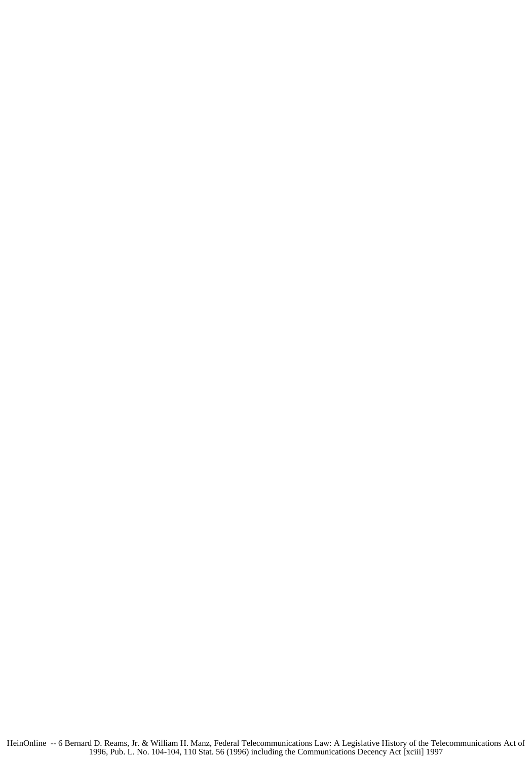HeinOnline -- 6 Bernard D. Reams, Jr. & William H. Manz, Federal Telecommunications Law: A Legislative History of the Telecommunications Act of 1996, Pub. L. No. 104-104, 110 Stat. 56 (1996) including the Communications Decency Act [xciii] 1997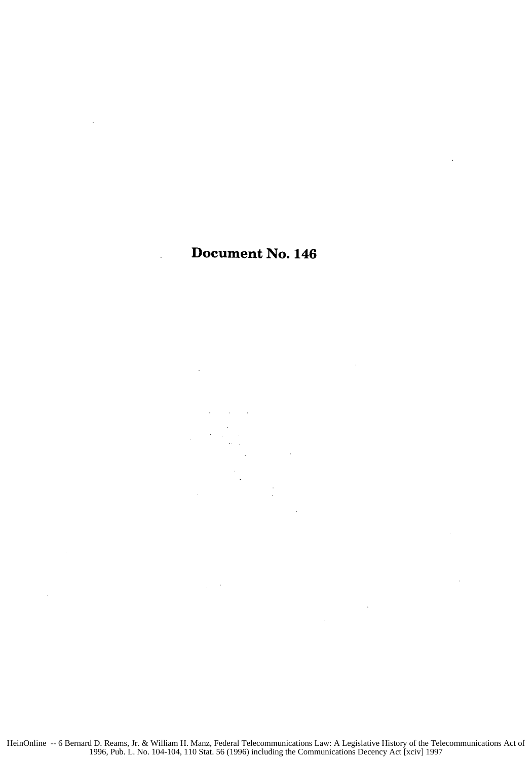### Document No. 146

HeinOnline -- 6 Bernard D. Reams, Jr. & William H. Manz, Federal Telecommunications Law: A Legislative History of the Telecommunications Act of 1996, Pub. L. No. 104-104, 110 Stat. 56 (1996) including the Communications Decency Act [xciv] 1997

 $\bar{\mathcal{A}}$ 

 $\mathcal{L}$ 

 $\mathcal{L}$ 

 $\mathcal{L}_{\mathcal{A}}$ 

 $\sim$